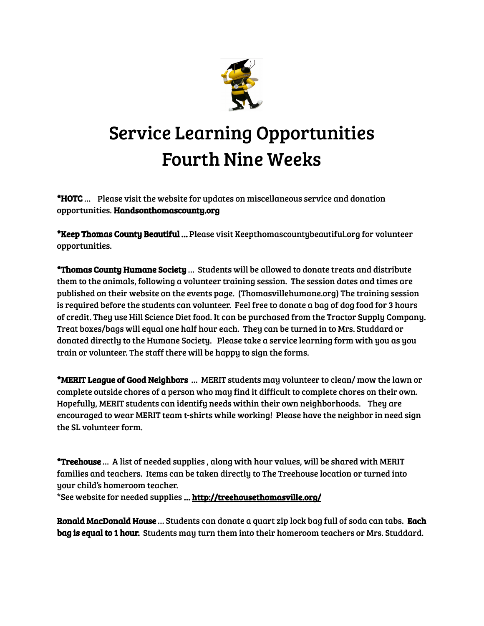

## Service Learning Opportunities Fourth Nine Weeks

\*HOTC … Please visit the website for updates on miscellaneous service and donation opportunities. Handsonthomascounty.org

\*Keep Thomas County Beautiful … Please visit Keepthomascountybeautiful.org for volunteer opportunities.

\*Thomas County Humane Society … Students will be allowed to donate treats and distribute them to the animals, following a volunteer training session. The session dates and times are published on their website on the events page. (Thomasvillehumane.org) The training session is required before the students can volunteer. Feel free to donate a bag of dog food for 3 hours of credit. They use Hill Science Diet food. It can be purchased from the Tractor Supply Company. Treat boxes/bags will equal one half hour each. They can be turned in to Mrs. Studdard or donated directly to the Humane Society. Please take a service learning form with you as you train or volunteer. The staff there will be happy to sign the forms.

\*MERIT League of Good Neighbors … MERIT students may volunteer to clean/ mow the lawn or complete outside chores of a person who may find it difficult to complete chores on their own. Hopefully, MERIT students can identify needs within their own neighborhoods. They are encouraged to wear MERIT team t-shirts while working! Please have the neighbor in need sign the SL volunteer form.

\*Treehouse … A list of needed supplies , along with hour values, will be shared with MERIT families and teachers. Items can be taken directly to The Treehouse location or turned into your child's homeroom teacher.

\*See website for needed supplies … <http://treehousethomasville.org/>

Ronald MacDonald House … Students can donate a quart zip lock bag full of soda can tabs. Each bag is equal to 1 hour. Students may turn them into their homeroom teachers or Mrs. Studdard.